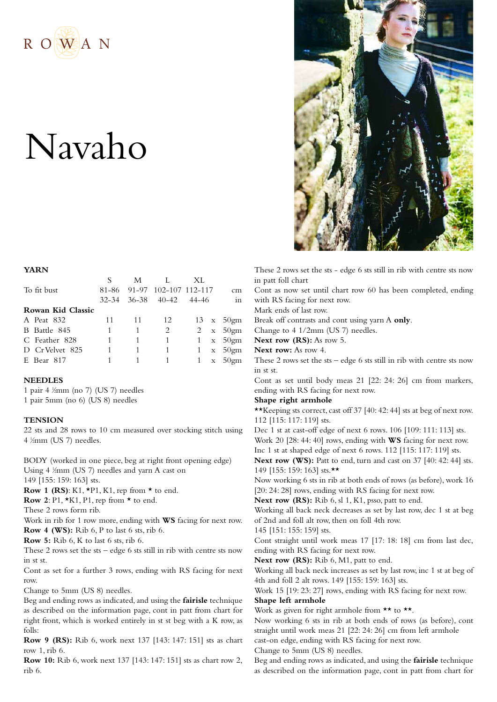

# Navaho



**YARN**

|                   |       | M  |                         | XL |  |                   |
|-------------------|-------|----|-------------------------|----|--|-------------------|
| To fit bust       | 81-86 |    | 91-97 102-107 112-117   |    |  | cm                |
|                   |       |    | 32-34 36-38 40-42 44-46 |    |  | in                |
| Rowan Kid Classic |       |    |                         |    |  |                   |
| A Peat 832        | 11    | 11 | 12                      |    |  | $13 \times 50$ gm |
| B Battle 845      | 1     |    | 2                       |    |  | 2 $x = 50$ gm     |
| C Feather 828     |       |    |                         |    |  | $1 \times 50$ gm  |
| D Cr Velvet 825   | 1     |    | 1                       |    |  | 1 $x = 50$ gm     |
| E Bear 817        |       |    |                         |    |  | 1 $x = 50$ gm     |

#### **NEEDLES**

1 pair 4 1 ⁄2mm (no 7) (US 7) needles 1 pair 5mm (no 6) (US 8) needles

## **TENSION**

22 sts and 28 rows to 10 cm measured over stocking stitch using 4 <sup>1</sup> ⁄2mm (US 7) needles.

BODY (worked in one piece, beg at right front opening edge) Using 4  $\frac{1}{2}$ mm (US 7) needles and yarn A cast on 149 [155: 159: 163] sts.

**Row 1 (RS):** K1,  $*P1$ , K1, rep from  $*$  to end.

**Row** 2: P1,  $*K1$ , P1, rep from  $*$  to end.

These 2 rows form rib.

Work in rib for 1 row more, ending with **WS** facing for next row. **Row 4 (WS):** Rib 6, P to last 6 sts, rib 6.

**Row 5:** Rib 6, K to last 6 sts, rib 6.

These 2 rows set the sts – edge 6 sts still in rib with centre sts now in st st.

Cont as set for a further 3 rows, ending with RS facing for next row.

Change to 5mm (US 8) needles.

Beg and ending rows as indicated, and using the **fairisle** technique as described on the information page, cont in patt from chart for right front, which is worked entirely in st st beg with a K row, as folls:

**Row 9 (RS):** Rib 6, work next 137 [143: 147: 151] sts as chart row 1, rib 6.

**Row 10:** Rib 6, work next 137 [143: 147: 151] sts as chart row 2, rib 6.

These 2 rows set the sts - edge 6 sts still in rib with centre sts now in patt foll chart

Cont as now set until chart row 60 has been completed, ending with RS facing for next row.

Mark ends of last row.

Break off contrasts and cont using yarn A **only**.

Change to 4 1/2mm (US 7) needles.

**Next row (RS):** As row 5.

**Next row:** As row 4.

These 2 rows set the sts – edge 6 sts still in rib with centre sts now in st st.

Cont as set until body meas 21 [22: 24: 26] cm from markers, ending with RS facing for next row.

#### **Shape right armhole**

\*\*Keeping sts correct, cast off 37 [40: 42: 44] sts at beg of next row. 112 [115: 117: 119] sts.

Dec 1 st at cast-off edge of next 6 rows. 106 [109: 111: 113] sts. Work 20 [28: 44: 40] rows, ending with **WS** facing for next row.

Inc 1 st at shaped edge of next 6 rows. 112 [115: 117: 119] sts. **Next row (WS):** Patt to end, turn and cast on 37 [40: 42: 44] sts. 149 [155: 159: 163] sts.\*\*

Now working 6 sts in rib at both ends of rows (as before), work 16 [20: 24: 28] rows, ending with RS facing for next row.

**Next row (RS):** Rib 6, sl 1, K1, psso, patt to end.

Working all back neck decreases as set by last row, dec 1 st at beg of 2nd and foll alt row, then on foll 4th row.

145 [151: 155: 159] sts.

Cont straight until work meas 17 [17: 18: 18] cm from last dec, ending with RS facing for next row.

**Next row (RS):** Rib 6, M1, patt to end.

Working all back neck increases as set by last row, inc 1 st at beg of 4th and foll 2 alt rows. 149 [155: 159: 163] sts.

Work 15 [19: 23: 27] rows, ending with RS facing for next row.

## **Shape left armhole**

Work as given for right armhole from  $\star\star$  to  $\star\star$ .

Now working 6 sts in rib at both ends of rows (as before), cont straight until work meas 21 [22: 24: 26] cm from left armhole cast-on edge, ending with RS facing for next row.

Change to 5mm (US 8) needles.

Beg and ending rows as indicated,and using the **fairisle** technique as described on the information page, cont in patt from chart for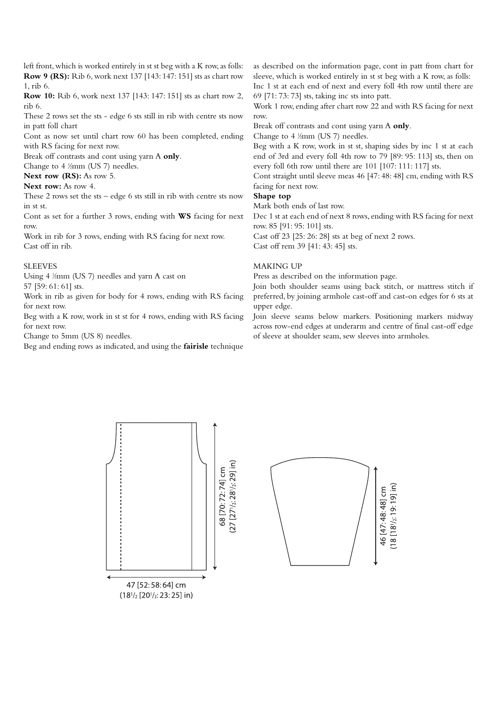left front, which is worked entirely in st st beg with a K row, as folls: **Row 9 (RS):** Rib 6, work next 137 [143: 147: 151] sts as chart row 1, rib 6.

**Row 10:** Rib 6, work next 137 [143: 147: 151] sts as chart row 2, rib 6.

These 2 rows set the sts - edge 6 sts still in rib with centre sts now in patt foll chart

Cont as now set until chart row 60 has been completed, ending with RS facing for next row.

Break off contrasts and cont using yarn A **only**.

Change to  $4 \frac{1}{2}$ mm (US 7) needles.

**Next row (RS):** As row 5.

### **Next row:** As row 4.

These 2 rows set the sts – edge 6 sts still in rib with centre sts now in st st.

Cont as set for a further 3 rows, ending with **WS** facing for next row.

Work in rib for 3 rows, ending with RS facing for next row. Cast off in rib.

#### **SLEEVES**

Using 4  $\frac{1}{2}$ mm (US 7) needles and yarn A cast on 57 [59: 61: 61] sts.

Work in rib as given for body for 4 rows, ending with RS facing for next row.

Beg with a K row, work in st st for 4 rows, ending with RS facing for next row.

Change to 5mm (US 8) needles.

Beg and ending rows as indicated, and using the **fairisle** technique

as described on the information page, cont in patt from chart for sleeve, which is worked entirely in st st beg with a K row, as folls: Inc 1 st at each end of next and every foll 4th row until there are 69 [71: 73: 73] sts, taking inc sts into patt.

Work 1 row, ending after chart row 22 and with RS facing for next row.

Break off contrasts and cont using yarn A **only**.

Change to  $4 \frac{1}{2}$ mm (US 7) needles.

Beg with a K row, work in st st, shaping sides by inc 1 st at each end of 3rd and every foll 4th row to 79 [89: 95: 113] sts, then on every foll 6th row until there are 101 [107: 111: 117] sts.

Cont straight until sleeve meas 46 [47: 48: 48] cm, ending with RS facing for next row.

## **Shape top**

Mark both ends of last row.

Dec 1 st at each end of next 8 rows, ending with RS facing for next row. 85 [91: 95: 101] sts.

Cast off 23 [25: 26: 28] sts at beg of next 2 rows.

Cast off rem 39 [41: 43: 45] sts.

## MAKING UP

Press as described on the information page.

Join both shoulder seams using back stitch, or mattress stitch if preferred, by joining armhole cast-off and cast-on edges for 6 sts at upper edge.

Join sleeve seams below markers. Positioning markers midway across row-end edges at underarm and centre of final cast-off edge of sleeve at shoulder seam, sew sleeves into armholes.